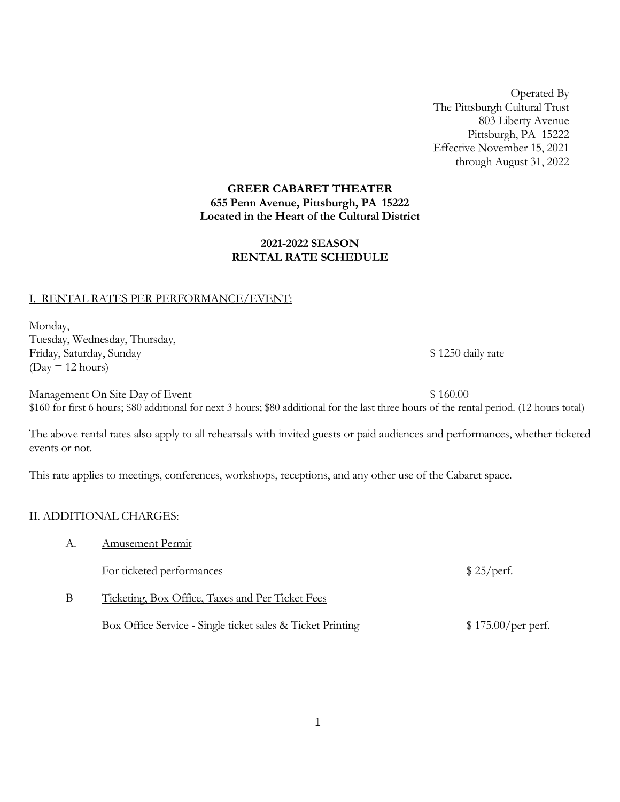Operated By The Pittsburgh Cultural Trust 803 Liberty Avenue Pittsburgh, PA 15222 Effective November 15, 2021 through August 31, 2022

### **GREER CABARET THEATER 655 Penn Avenue, Pittsburgh, PA 15222 Located in the Heart of the Cultural District**

# **2021-2022 SEASON RENTAL RATE SCHEDULE**

## I. RENTAL RATES PER PERFORMANCE/EVENT:

Monday, Tuesday, Wednesday, Thursday, Friday, Saturday, Sunday **Example 2018** and Sunday **\$1250 daily rate** \$1250 daily rate  $(Day = 12 hours)$ 

Management On Site Day of Event  $\frac{1}{2}$  160.00 \$160 for first 6 hours; \$80 additional for next 3 hours; \$80 additional for the last three hours of the rental period. (12 hours total)

The above rental rates also apply to all rehearsals with invited guests or paid audiences and performances, whether ticketed events or not.

This rate applies to meetings, conferences, workshops, receptions, and any other use of the Cabaret space.

### II. ADDITIONAL CHARGES:

| А. | Amusement Permit |
|----|------------------|
|    |                  |

For ticketed performances  $$ 25/perf.$ 

B Ticketing, Box Office, Taxes and Per Ticket Fees

Box Office Service - Single ticket sales & Ticket Printing  $$ 175.00/per$  perf.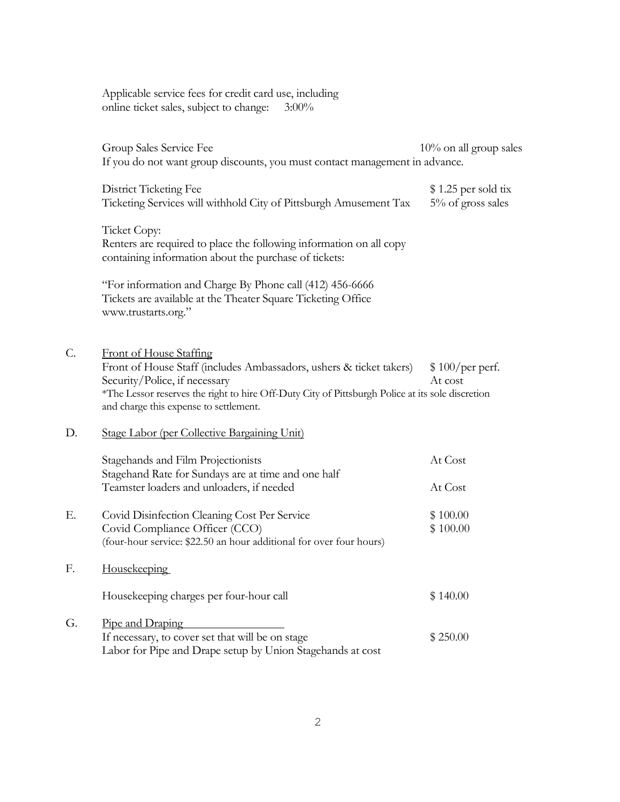Applicable service fees for credit card use, including online ticket sales, subject to change: 3:00%

 $\overline{G}$ .

|    | Group Sales Service Fee<br>If you do not want group discounts, you must contact management in advance.                                                                                                                                                                               | $10\%$ on all group sales                 |
|----|--------------------------------------------------------------------------------------------------------------------------------------------------------------------------------------------------------------------------------------------------------------------------------------|-------------------------------------------|
|    | District Ticketing Fee<br>Ticketing Services will withhold City of Pittsburgh Amusement Tax                                                                                                                                                                                          | $$1.25$ per sold tix<br>5% of gross sales |
|    | Ticket Copy:<br>Renters are required to place the following information on all copy<br>containing information about the purchase of tickets:                                                                                                                                         |                                           |
|    | "For information and Charge By Phone call (412) 456-6666<br>Tickets are available at the Theater Square Ticketing Office<br>www.trustarts.org."                                                                                                                                      |                                           |
| C. | <b>Front of House Staffing</b><br>Front of House Staff (includes Ambassadors, ushers & ticket takers)<br>Security/Police, if necessary<br>*The Lessor reserves the right to hire Off-Duty City of Pittsburgh Police at its sole discretion<br>and charge this expense to settlement. | $$100/per$ perf.<br>At cost               |
| D. | Stage Labor (per Collective Bargaining Unit)                                                                                                                                                                                                                                         |                                           |
|    | Stagehands and Film Projectionists<br>Stagehand Rate for Sundays are at time and one half                                                                                                                                                                                            | At Cost                                   |
|    | Teamster loaders and unloaders, if needed                                                                                                                                                                                                                                            | At Cost                                   |
| Е. | Covid Disinfection Cleaning Cost Per Service<br>Covid Compliance Officer (CCO)<br>(four-hour service: \$22.50 an hour additional for over four hours)                                                                                                                                | \$100.00<br>\$100.00                      |
| F. | <b>Housekeeping</b>                                                                                                                                                                                                                                                                  |                                           |
|    | Housekeeping charges per four-hour call                                                                                                                                                                                                                                              | \$140.00                                  |
| G. | Pipe and Draping                                                                                                                                                                                                                                                                     |                                           |
|    | If necessary, to cover set that will be on stage<br>Labor for Pipe and Drape setup by Union Stagehands at cost                                                                                                                                                                       | \$250.00                                  |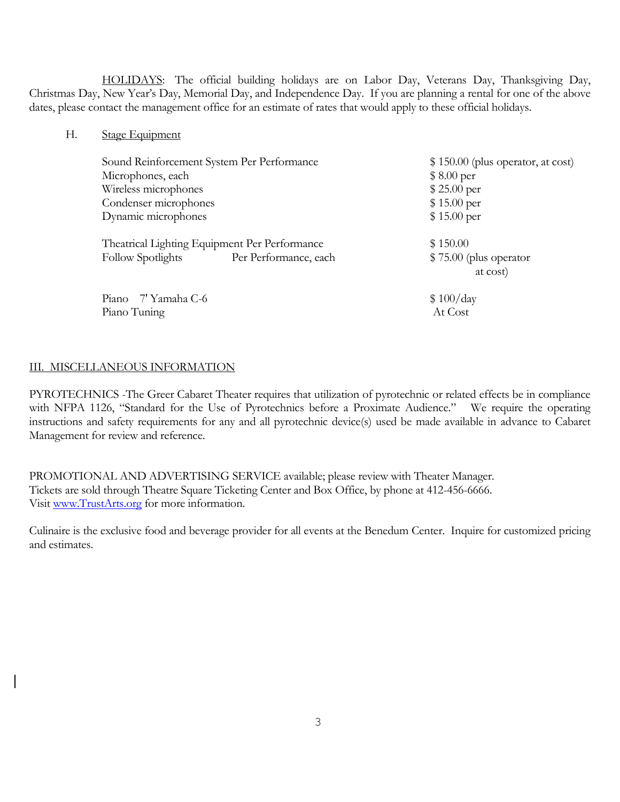HOLIDAYS: The official building holidays are on Labor Day, Veterans Day, Thanksgiving Day, Christmas Day, New Year's Day, Memorial Day, and Independence Day. If you are planning a rental for one of the above dates, please contact the management office for an estimate of rates that would apply to these official holidays.

H. Stage Equipment

| Sound Reinforcement System Per Performance        | $$150.00$ (plus operator, at cost) |
|---------------------------------------------------|------------------------------------|
| Microphones, each                                 | $$8.00\,\text{per}$                |
| Wireless microphones                              | \$25.00~per                        |
| Condenser microphones                             | \$15.00~per                        |
| Dynamic microphones                               | \$15.00~per                        |
| Theatrical Lighting Equipment Per Performance     | \$150.00                           |
| <b>Follow Spotlights</b><br>Per Performance, each | $$75.00$ (plus operator            |
|                                                   | at cost)                           |
| Piano 7' Yamaha C-6                               | \$100/day                          |
| Piano Tuning                                      | At Cost                            |

#### III. MISCELLANEOUS INFORMATION

PYROTECHNICS -The Greer Cabaret Theater requires that utilization of pyrotechnic or related effects be in compliance with NFPA 1126, "Standard for the Use of Pyrotechnics before a Proximate Audience." We require the operating instructions and safety requirements for any and all pyrotechnic device(s) used be made available in advance to Cabaret Management for review and reference.

PROMOTIONAL AND ADVERTISING SERVICE available; please review with Theater Manager. Tickets are sold through Theatre Square Ticketing Center and Box Office, by phone at 412-456-6666. Visit [www.TrustArts.org](http://www.trustarts.org/) for more information.

Culinaire is the exclusive food and beverage provider for all events at the Benedum Center. Inquire for customized pricing and estimates.